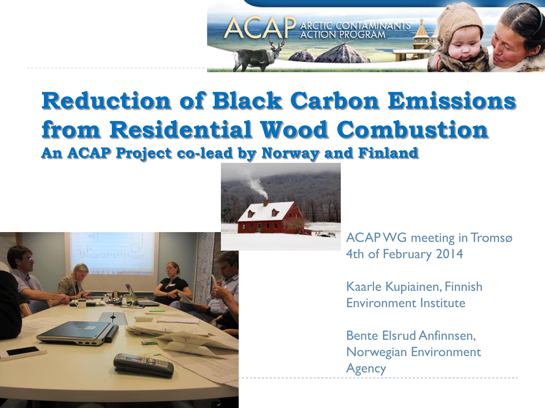

# **Reduction of Black Carbon Emissions from Residential Wood Combustion**

**An ACAP Project co-lead by Norway and Finland** 



ACAP WG meeting in Tromsø 4th of February 2014

> Kaarle Kupiainen, Finnish Environment Institute

> Bente Elsrud Anfinnsen, Norwegian Environment **Agency**

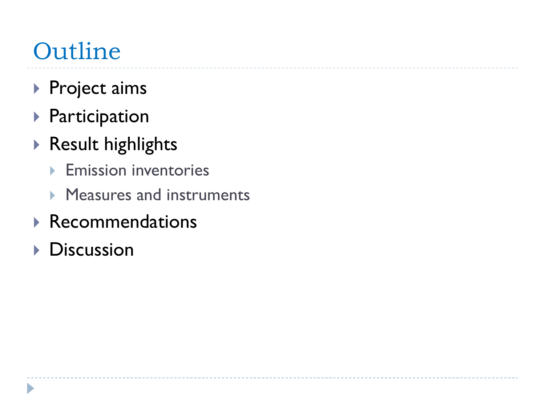## **Outline**

- ▶ Project aims
- Participation
- Result highlights
	- **Emission inventories**
	- **Measures and instruments**
- Recommendations
- **Discussion**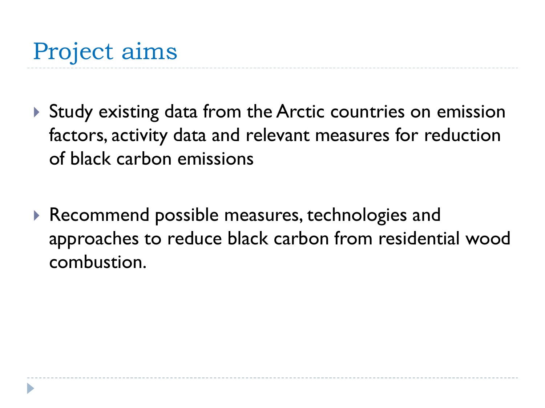- Study existing data from the Arctic countries on emission factors, activity data and relevant measures for reduction of black carbon emissions
- ▶ Recommend possible measures, technologies and approaches to reduce black carbon from residential wood combustion.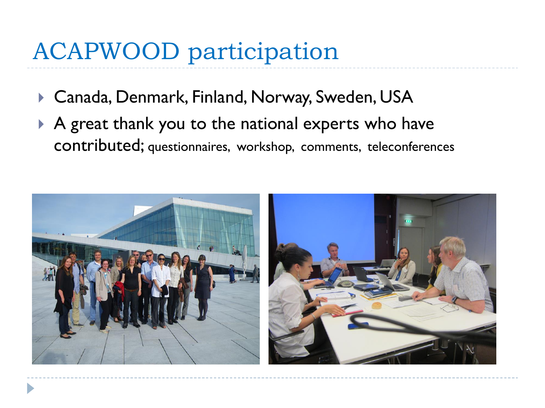#### ACAPWOOD participation

- Canada, Denmark, Finland, Norway, Sweden, USA
- A great thank you to the national experts who have contributed; questionnaires, workshop, comments, teleconferences

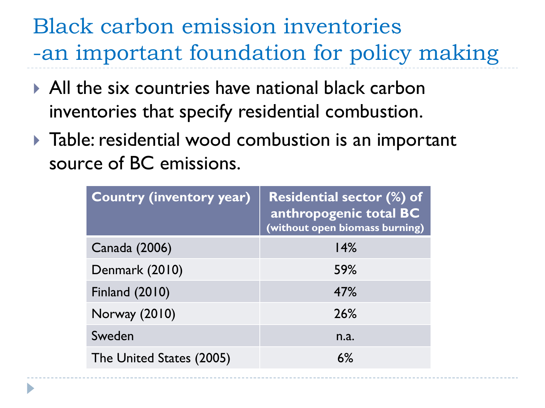#### Black carbon emission inventories -an important foundation for policy making

- All the six countries have national black carbon inventories that specify residential combustion.
- $\blacktriangleright$  Table: residential wood combustion is an important source of BC emissions.

| <b>Country (inventory year)</b> | <b>Residential sector (%) of</b><br>anthropogenic total BC<br>(without open biomass burning) |
|---------------------------------|----------------------------------------------------------------------------------------------|
| Canada (2006)                   | 14%                                                                                          |
| Denmark (2010)                  | <b>59%</b>                                                                                   |
| <b>Finland (2010)</b>           | 47%                                                                                          |
| Norway (2010)                   | 26%                                                                                          |
| Sweden                          | n.a.                                                                                         |
| The United States (2005)        | 6%                                                                                           |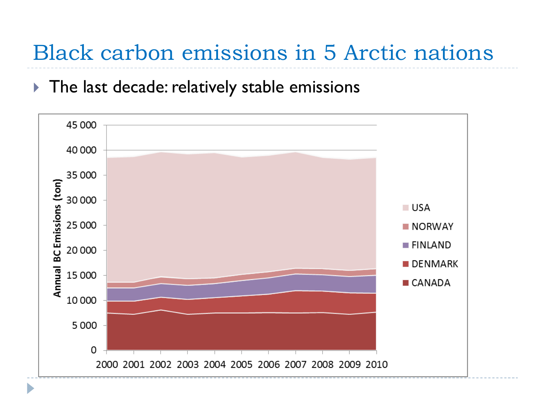Black carbon emissions in 5 Arctic nations

The last decade: relatively stable emissions

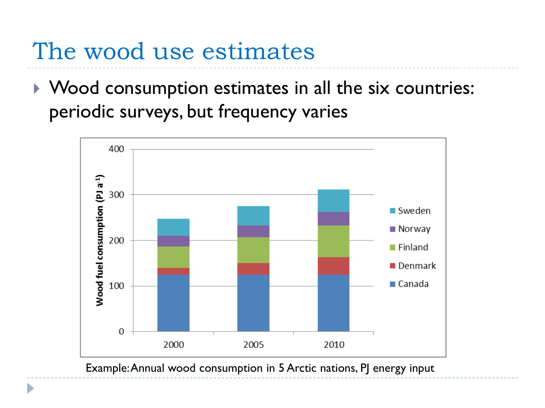#### The wood use estimates

▶ Wood consumption estimates in all the six countries: periodic surveys, but frequency varies



Example: Annual wood consumption in 5 Arctic nations, PJ energy input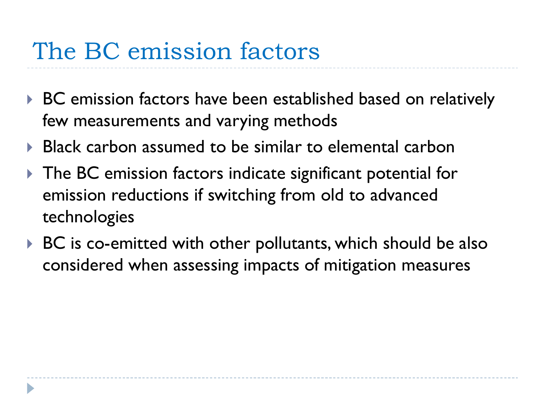#### The BC emission factors

- ▶ BC emission factors have been established based on relatively few measurements and varying methods
- ▶ Black carbon assumed to be similar to elemental carbon
- ▶ The BC emission factors indicate significant potential for emission reductions if switching from old to advanced technologies
- ▶ BC is co-emitted with other pollutants, which should be also considered when assessing impacts of mitigation measures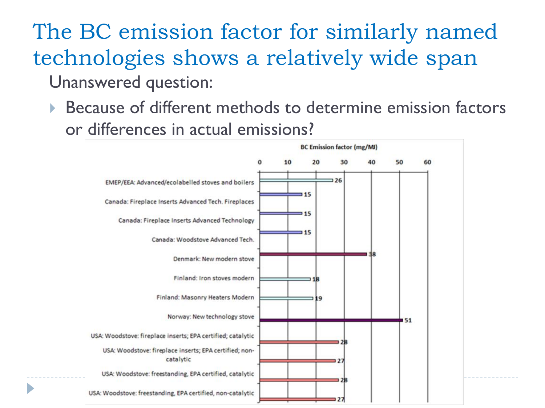# The BC emission factor for similarly named technologies shows a relatively wide span

- Unanswered question:
- ▶ Because of different methods to determine emission factors or differences in actual emissions?

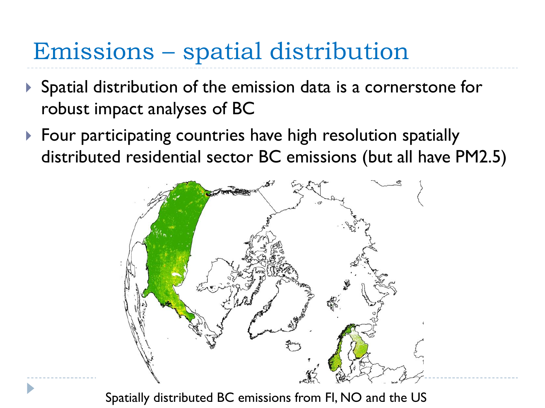### Emissions – spatial distribution

- Spatial distribution of the emission data is a cornerstone for robust impact analyses of BC
- ▶ Four participating countries have high resolution spatially distributed residential sector BC emissions (but all have PM2.5)



Spatially distributed BC emissions from FI, NO and the US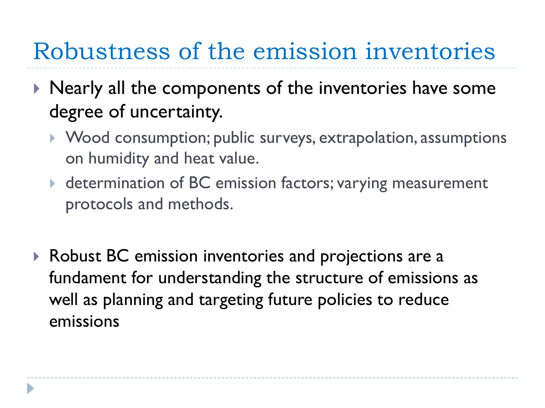#### Robustness of the emission inventories

- $\triangleright$  Nearly all the components of the inventories have some degree of uncertainty.
	- ▶ Wood consumption; public surveys, extrapolation, assumptions on humidity and heat value.
	- ▶ determination of BC emission factors; varying measurement protocols and methods.
- ▶ Robust BC emission inventories and projections are a fundament for understanding the structure of emissions as well as planning and targeting future policies to reduce emissions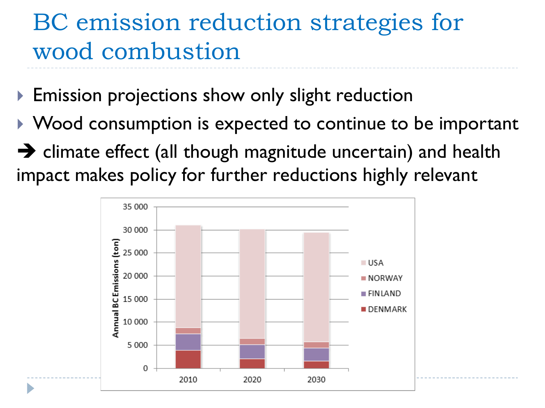### BC emission reduction strategies for wood combustion

- ▶ Emission projections show only slight reduction
- ▶ Wood consumption is expected to continue to be important
- $\rightarrow$  climate effect (all though magnitude uncertain) and health impact makes policy for further reductions highly relevant

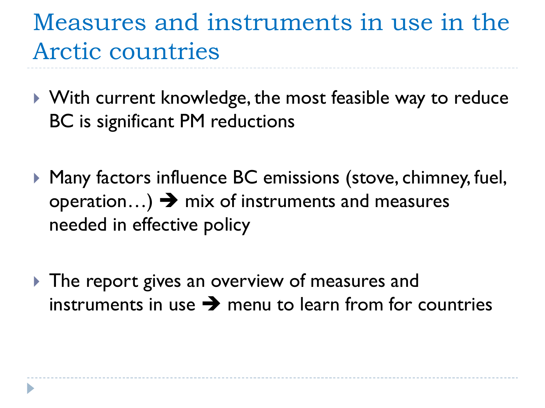### Measures and instruments in use in the Arctic countries

- ▶ With current knowledge, the most feasible way to reduce BC is significant PM reductions
- ▶ Many factors influence BC emissions (stove, chimney, fuel, operation...)  $\rightarrow$  mix of instruments and measures needed in effective policy
- The report gives an overview of measures and instruments in use  $\rightarrow$  menu to learn from for countries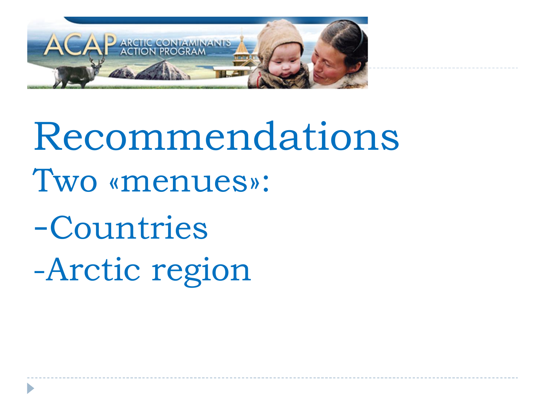

Recommendations Two «menues»:

-Countries -Arctic region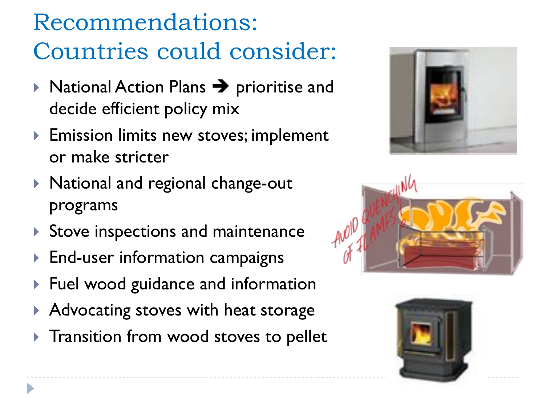Recommendations: Countries could consider:

- $\triangleright$  National Action Plans  $\rightarrow$  prioritise and decide efficient policy mix
- **Emission limits new stoves; implement** or make stricter
- ▶ National and regional change-out programs
- Stove inspections and maintenance
- End-user information campaigns
- ▶ Fuel wood guidance and information
- ▶ Advocating stoves with heat storage
- **Transition from wood stoves to pellet**





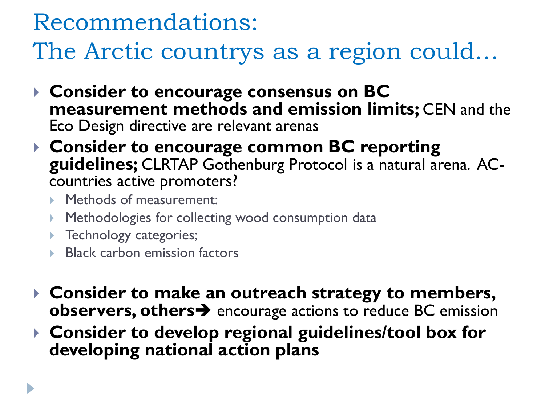# Recommendations:

The Arctic countrys as a region could…

- **Consider to encourage consensus on BC measurement methods and emission limits;** CEN and the Eco Design directive are relevant arenas
- **Consider to encourage common BC reporting guidelines;** CLRTAP Gothenburg Protocol is a natural arena. ACcountries active promoters?
	- **Methods of measurement:**
	- **Methodologies for collecting wood consumption data**
	- **Technology categories;**
	- ▶ Black carbon emission factors
- **Consider to make an outreach strategy to members, observers, others**  $\rightarrow$  encourage actions to reduce BC emission
- **Consider to develop regional guidelines/tool box for developing national action plans**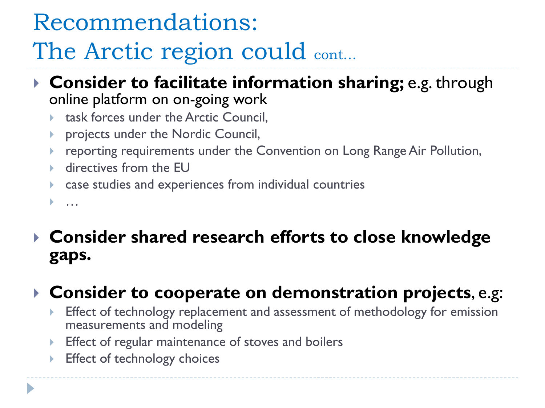#### Recommendations:

# The Arctic region could cont...

- **Consider to facilitate information sharing;** e.g. through online platform on on-going work
	- task forces under the Arctic Council,
	- projects under the Nordic Council,
	- reporting requirements under the Convention on Long Range Air Pollution,
	- **►** directives from the EU
	- case studies and experiences from individual countries

…

#### **Consider shared research efforts to close knowledge gaps.**

#### **Consider to cooperate on demonstration projects**, e.g:

- Effect of technology replacement and assessment of methodology for emission measurements and modeling
- **Effect of regular maintenance of stoves and boilers**
- ▶ Effect of technology choices